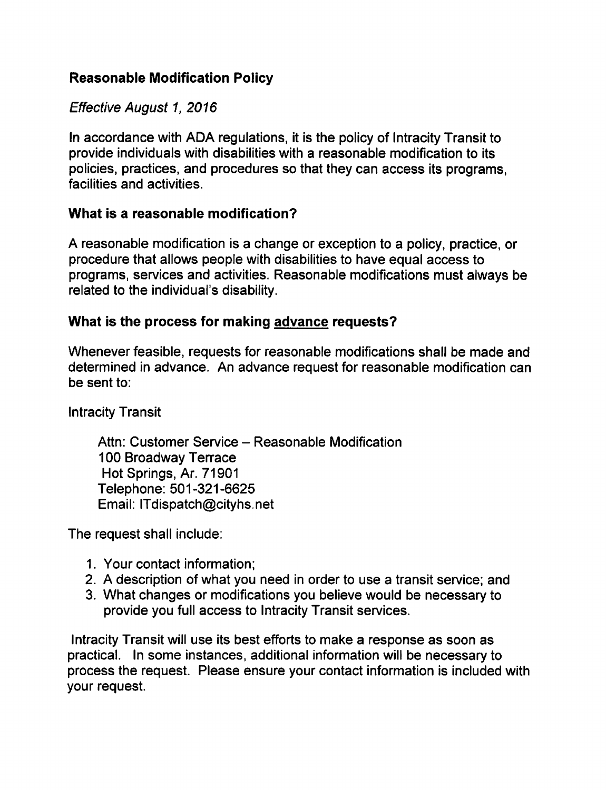# Reasonable Modification Policy

### Effective August 1, 2016

In accordance with ADA regulations, it is the policy of Intracity Transit to provide individuals with disabilities with a reasonable modification to its policies, practices, and procedures so that they can access its programs, facilities and activities.

#### What is a reasonable modification?

A reasonable modification is a change or exception to a policy, practice, or procedure that allows people with disabilities to have equal access to programs, services and activities. Reasonable modifications must always be related to the individual's disability.

#### What is the process for making advance requests?

Whenever feasible, requests for reasonable modifications shall be made and determined in advance. An advance request for reasonable modification can be sent to:

Intracity Transit

Attn: Customer Service - Reasonable Modification 100 Broadway Terrace Hot Springs, Ar. 71901 Telephone: 501-321-6625 Email: ITdispatch@cityhs.net

The request shall include:

- 1. Your contact information;
- 2. A description of what you need in order to use a transit service; and
- 3. What changes or modifications you believe would be necessary to provide you full access to Intracity Transit services.

Intracity Transit will use its best efforts to make a response as soon as practical. In some instances, additional information will be necessary to process the request. Please ensure your contact information is included with your request.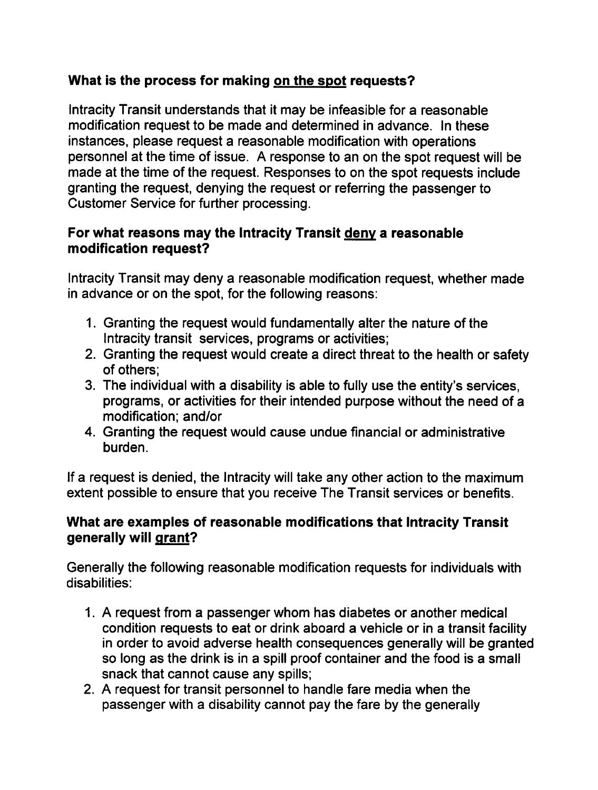# What is the process for making on the spot requests?

Intracity Transit understands that it may be infeasible for a reasonable modification request to be made and determined in advance. In these instances, please request a reasonable modification with operations personnel at the time of issue. A response to an on the spot request will be made at the time of the request. Responses to on the spot requests include granting the request, denying the request or referring the passenger to Customer Service for further processing.

## For what reasons may the Intracity Transit deny a reasonable modification request?

Intracity Transit may deny a reasonable modification request, whether made in advance or on the spot, for the following reasons:

- 1. Granting the request would fundamentally alter the nature of the Intracity transit services, programs or activities;
- 2. Granting the request would create a direct threat to the health or safety of others;
- 3. The individual with a disability is able to fully use the entity's services, programs, or activities for their intended purpose without the need of modification; and/or
- 4. Granting the request would cause undue financial or administrative burden.

If a request is denied, the Intracity will take any other action to the maximum extent possible to ensure that you receive The Transit services or benefits.

## What are examples of reasonable modifications that Intracity Transit generally will grant?

Generally the following reasonable modification requests for individuals with disabilities:

- 1. A request from a passenger whom has diabetes or another medical condition requests to eat or drink aboard a vehicle or in a transit facility in order to avoid adverse health consequences generally will be granted so long as the drink is in a spill proof container and the food is a small snack that cannot cause any spills;
- 2. A request for transit personnel to handle fare media when the passenger with a disability cannot pay the fare by the generally